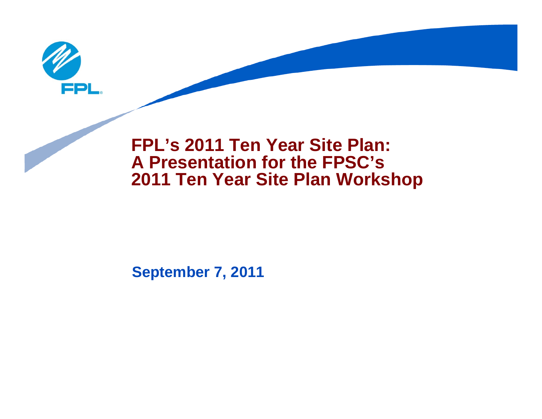

### **FPL's 2011 Ten Year Site Plan: A Presentation for the FPSC's 2011 Ten Year Site Plan Workshop**

#### **September 7, 2011**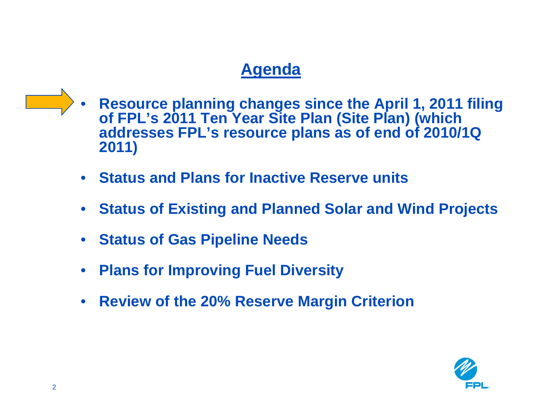- **Resource planning changes since the April 1, 2011 filing of FPL's 2011 Ten Year Site Plan (Site Plan) (which addresses FPL's resource plans as of end of 2010/1Q 2011)**
	- **Status and Plans for Inactive Reserve units**
	- **Status of Existing and Planned Solar and Wind Projects**
	- **Status of Gas Pipeline Needs**
	- **Plans for Improving Fuel Diversity**
	- **Review of the 20% Reserve Margin Criterion**

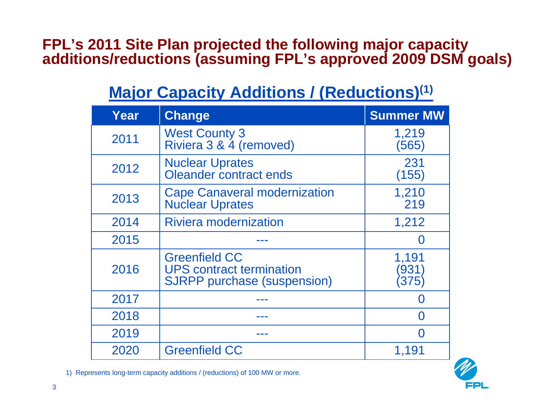#### **FPL's 2011 Site Plan projected the following major capacity additions/reductions (assuming FPL's approved 2009 DSM goals)**

# **Major Capacity Additions / (Reductions)<sup>(1)</sup>**

| Year | <b>Change</b>                                                                                 | <b>Summer MW</b>     |
|------|-----------------------------------------------------------------------------------------------|----------------------|
| 2011 | <b>West County 3</b><br>Riviera 3 & 4 (removed)                                               | 1,219<br>(565)       |
| 2012 | <b>Nuclear Uprates</b><br>Oleander contract ends                                              | 231<br>(155)         |
| 2013 | <b>Cape Canaveral modernization</b><br><b>Nuclear Uprates</b>                                 | 1,210<br>219         |
| 2014 | <b>Riviera modernization</b>                                                                  | 1,212                |
| 2015 |                                                                                               |                      |
| 2016 | <b>Greenfield CC</b><br><b>UPS contract termination</b><br><b>SJRPP</b> purchase (suspension) | 1,191<br>'931<br>375 |
| 2017 |                                                                                               |                      |
| 2018 |                                                                                               |                      |
| 2019 |                                                                                               |                      |
| 2020 | <b>Greenfield CC</b>                                                                          | 1,191                |



1) Represents long-term capacity additions / (reductions) of 100 MW or more.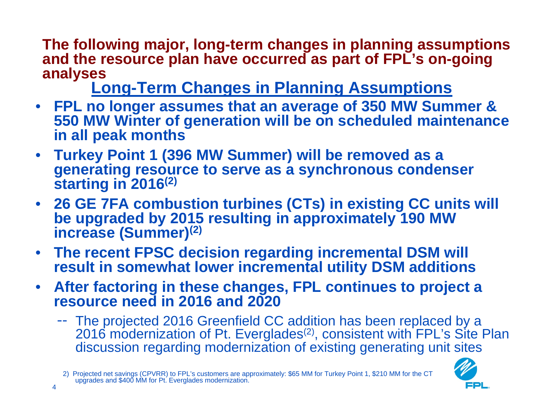**The following major, long-term changes in planning assumptions and the resource plan have occurred as part of FPL's on-going** 

analyses<br><u>Long-Term Changes in</u> Planning Assumptions

- **FPL no longer assumes that an average of 350 MW Summer & 550 MW Winter of generation will be on scheduled maintenance in all peak months**
- **Turkey Point 1 (396 MW Summer) will be removed as a generating resource to serve as a synchronous condenser starting in 2016(2)**
- **26 GE 7FA combustion turbines (CTs) in existing CC units will be upgraded by 2015 resulting in approximately 190 MW increase (Summer)(2)**
- **The recent FPSC decision regarding incremental DSM will result in somewhat lower incremental utility DSM additions**
- **After factoring in these changes, FPL continues to project a resource need in 2016 and 2020**
	- The projected 2016 Greenfield CC addition has been replaced by a 2016 modernization of Pt. Everglades<sup>(2)</sup>, consistent with FPL's Site Plan discussion regarding modernization of existing generating unit sites



<sup>2)</sup> Projected net savings (CPVRR) to FPL's customers are approximately: \$65 MM for Turkey Point 1, \$210 MM for the CT upgrades and \$400 MM for Pt. Everglades modernization.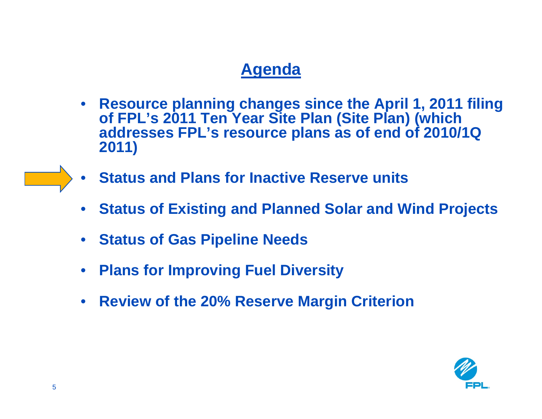- **Resource planning changes since the April 1, 2011 filing of FPL's 2011 Ten Year Site Plan (Site Plan) (which addresses FPL's resource plans as of end of 2010/1Q 2011)**
- **Status and Plans for Inactive Reserve units**
- **Status of Existing and Planned Solar and Wind Projects**
- **Status of Gas Pipeline Needs**
- **Plans for Improving Fuel Diversity**
- **Review of the 20% Reserve Margin Criterion**

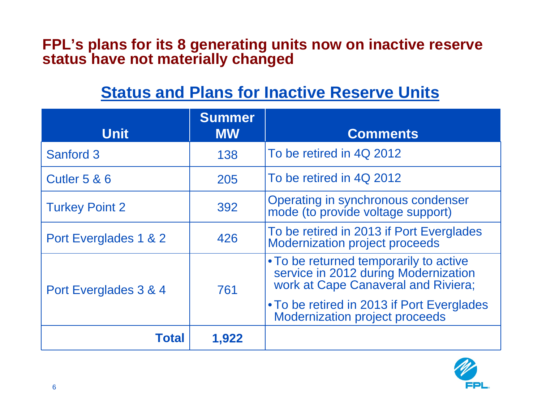#### **FPL's plans for its 8 generating units now on inactive reserve status have not materially changed**

# **Status and Plans for Inactive Reserve Units**

| <b>Unit</b>             | <b>Summer</b><br><b>MW</b> | <b>Comments</b>                                                                                                                                                                                              |
|-------------------------|----------------------------|--------------------------------------------------------------------------------------------------------------------------------------------------------------------------------------------------------------|
| Sanford 3               | 138                        | To be retired in 4Q 2012                                                                                                                                                                                     |
| <b>Cutler 5 &amp; 6</b> | 205                        | To be retired in 4Q 2012                                                                                                                                                                                     |
| <b>Turkey Point 2</b>   | 392                        | Operating in synchronous condenser<br>mode (to provide voltage support)                                                                                                                                      |
| Port Everglades 1 & 2   | 426                        | To be retired in 2013 if Port Everglades<br><b>Modernization project proceeds</b>                                                                                                                            |
| Port Everglades 3 & 4   | 761                        | • To be returned temporarily to active<br>service in 2012 during Modernization<br>work at Cape Canaveral and Riviera;<br>• To be retired in 2013 if Port Everglades<br><b>Modernization project proceeds</b> |
| <b>Total</b>            | 1,922                      |                                                                                                                                                                                                              |

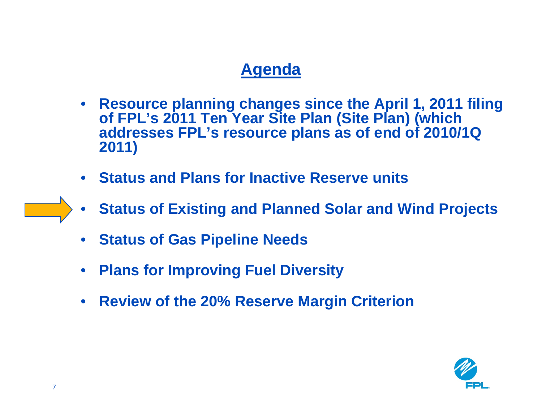- **Resource planning changes since the April 1, 2011 filing of FPL's 2011 Ten Year Site Plan (Site Plan) (which addresses FPL's resource plans as of end of 2010/1Q 2011)**
- **Status and Plans for Inactive Reserve units**
- **Status of Existing and Planned Solar and Wind Projects**
- **Status of Gas Pipeline Needs**
- **Plans for Improving Fuel Diversity**
- **Review of the 20% Reserve Margin Criterion**

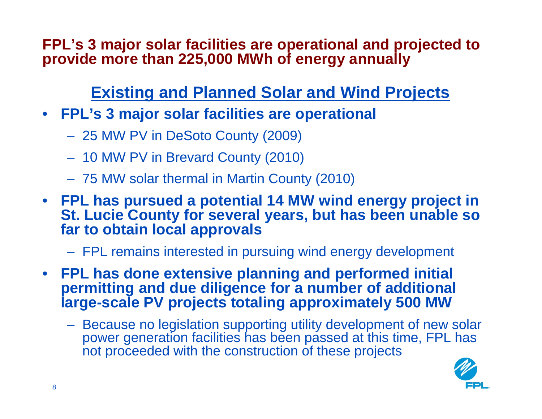**FPL's 3 major solar facilities are operational and projected to provide more than 225,000 MWh of energy annually**

# **Existing and Planned Solar and Wind Projects**

- **FPL's 3 major solar facilities are operational**
	- 25 MW PV in DeSoto County (2009)
	- 10 MW PV in Brevard County (2010)
	- 75 MW solar thermal in Martin County (2010)
- **FPL has pursued a potential 14 MW wind energy project in St. Lucie County for several years, but has been unable so far to obtain local approvals**
	- FPL remains interested in pursuing wind energy development
- **FPL has done extensive planning and performed initial permitting and due diligence for a number of additional large-scale PV projects totaling approximately 500 MW**
	- Because no legislation supporting utility development of new solar power generation facilities has been passed at this time, FPL has not proceeded with the construction of these projects

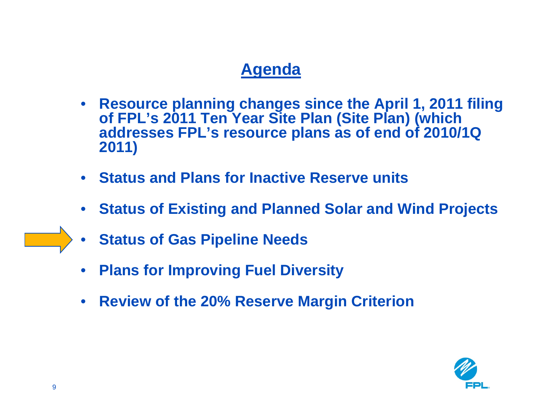- **Resource planning changes since the April 1, 2011 filing of FPL's 2011 Ten Year Site Plan (Site Plan) (which addresses FPL's resource plans as of end of 2010/1Q 2011)**
- **Status and Plans for Inactive Reserve units**
- **Status of Existing and Planned Solar and Wind Projects**
- **Status of Gas Pipeline Needs**
- **Plans for Improving Fuel Diversity**
- **Review of the 20% Reserve Margin Criterion**

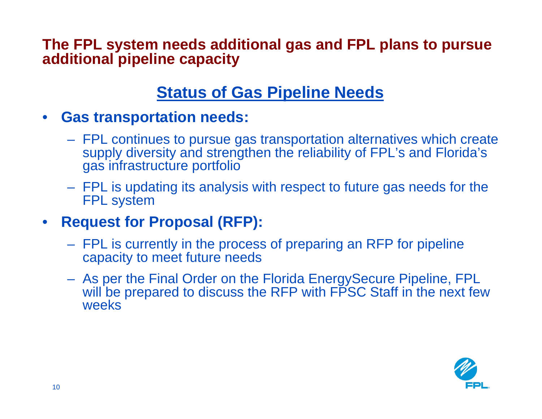**The FPL system needs additional gas and FPL plans to pursue additional pipeline capacity**

### **Status of Gas Pipeline Needs**

- **Gas transportation needs:**
	- FPL continues to pursue gas transportation alternatives which create supply diversity and strengthen the reliability of FPL's and Florida's gas infrastructure portfolio
	- FPL is updating its analysis with respect to future gas needs for the FPL system
- **Request for Proposal (RFP):**
	- FPL is currently in the process of preparing an RFP for pipeline capacity to meet future needs
	- As per the Final Order on the Florida EnergySecure Pipeline, FPL will be prepared to discuss the RFP with FPSC Staff in the next few weeks

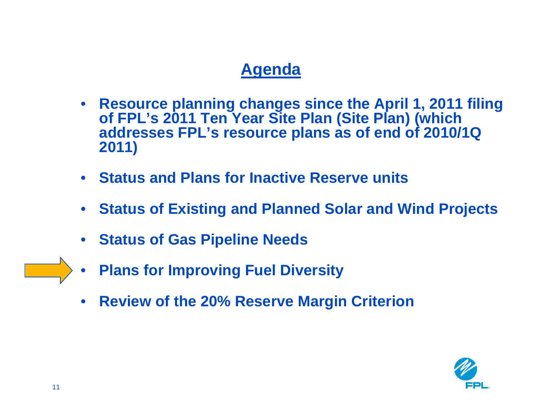- **Resource planning changes since the April 1, 2011 filing of FPL's 2011 Ten Year Site Plan (Site Plan) (which addresses FPL's resource plans as of end of 2010/1Q 2011)**
- **Status and Plans for Inactive Reserve units**
- **Status of Existing and Planned Solar and Wind Projects**
- **Status of Gas Pipeline Needs**
- **Plans for Improving Fuel Diversity**
- **Review of the 20% Reserve Margin Criterion**

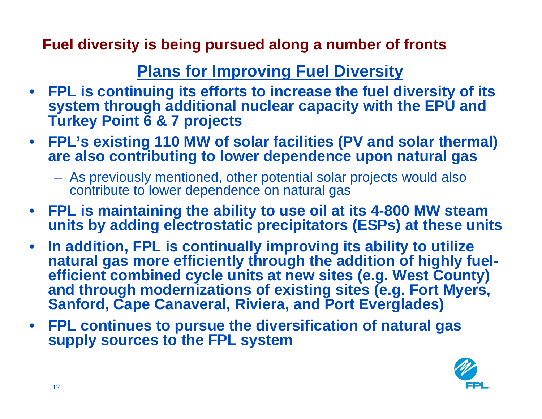**Fuel diversity is being pursued along a number of fronts**

# **Plans for Improving Fuel Diversity**

- **FPL is continuing its efforts to increase the fuel diversity of its system through additional nuclear capacity with the EPU and Turkey Point 6 & 7 projects**
- **FPL's existing 110 MW of solar facilities (PV and solar thermal) are also contributing to lower dependence upon natural gas**
	- As previously mentioned, other potential solar projects would also contribute to lower dependence on natural gas
- **FPL is maintaining the ability to use oil at its 4-800 MW steam units by adding electrostatic precipitators (ESPs) at these units**
- **In addition, FPL is continually improving its ability to utilize natural gas more efficiently through the addition of highly fuelefficient combined cycle units at new sites (e.g. West County) and through modernizations of existing sites (e.g. Fort Myers, Sanford, Cape Canaveral, Riviera, and Port Everglades)**
- **FPL continues to pursue the diversification of natural gas supply sources to the FPL system**

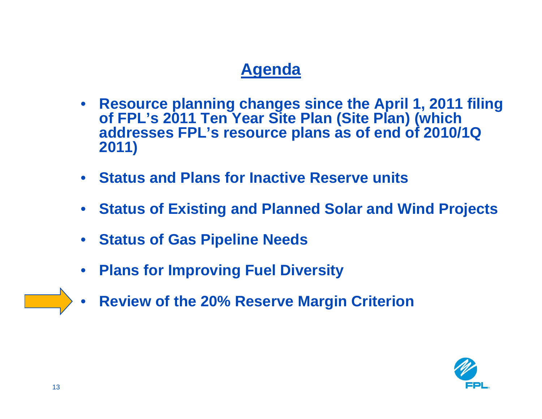- **Resource planning changes since the April 1, 2011 filing of FPL's 2011 Ten Year Site Plan (Site Plan) (which addresses FPL's resource plans as of end of 2010/1Q 2011)**
- **Status and Plans for Inactive Reserve units**
- **Status of Existing and Planned Solar and Wind Projects**
- **Status of Gas Pipeline Needs**
- **Plans for Improving Fuel Diversity**
- **Review of the 20% Reserve Margin Criterion**

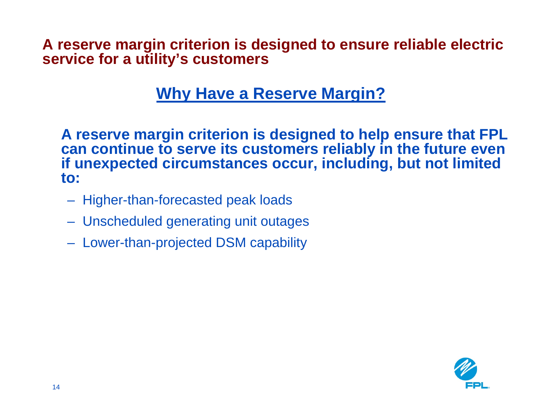**A reserve margin criterion is designed to ensure reliable electric service for a utility's customers**

### **Why Have a Reserve Margin?**

**A reserve margin criterion is designed to help ensure that FPL can continue to serve its customers reliably in the future even if unexpected circumstances occur, including, but not limited to:**

- Higher-than-forecasted peak loads
- Unscheduled generating unit outages
- Lower-than-projected DSM capability

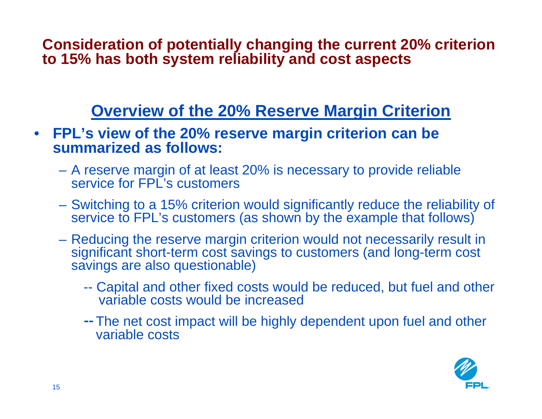**Consideration of potentially changing the current 20% criterion to 15% has both system reliability and cost aspects**

## **Overview of the 20% Reserve Margin Criterion**

- **FPL's view of the 20% reserve margin criterion can be summarized as follows:**
	- A reserve margin of at least 20% is necessary to provide reliable service for FPL's customers
	- Switching to a 15% criterion would significantly reduce the reliability of service to FPL's customers (as shown by the example that follows)
	- Reducing the reserve margin criterion would not necessarily result in significant short-term cost savings to customers (and long-term cost savings are also questionable)
		- -- Capital and other fixed costs would be reduced, but fuel and other variable costs would be increased
		- The net cost impact will be highly dependent upon fuel and other variable costs

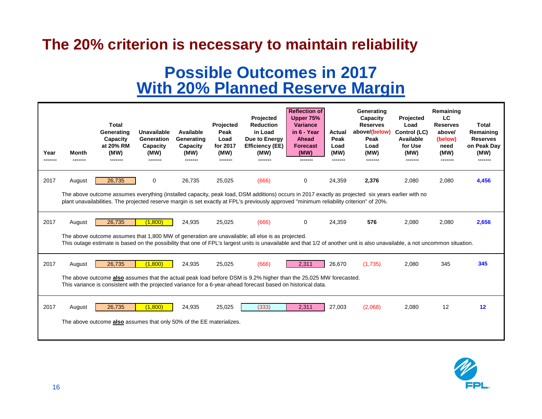#### **The 20% criterion is necessary to maintain reliability**

#### **Possible Outcomes in 2017 With 20% Planned Reserve Margin**

| Year | Month                                                                                                                                                                                                                                                                           | Total<br>Generating<br>Capacity<br>at 20% RM<br>(MW)                 | Unavailable<br>Generation<br>Capacity<br>(MW) | Available<br>Generating<br>Capacity<br>(MW) | Projected<br>Peak<br>Load<br>for 2017<br>(MW)<br>------- | Projected<br><b>Reduction</b><br>in Load<br>Due to Energy<br><b>Efficiency (EE)</b><br>(MW)                                                                | <b>Reflection of</b><br>Upper 75%<br>Variance<br>in 6 - Year<br>Ahead<br><b>Forecast</b><br>(MW) | <b>Actual</b><br>Peak<br>Load<br>(MW)<br>------- | Generating<br>Capacity<br><b>Reserves</b><br>above/(below)<br>Peak<br>Load<br>(MW) | Projected<br>Load<br>Control (LC)<br>Available<br>for Use<br>(MW) | Remaining<br>LC.<br><b>Reserves</b><br>above/<br>(below)<br>need<br>(MW)<br>------- | <b>Total</b><br>Remaining<br><b>Reserves</b><br>on Peak Day<br>(MW) |
|------|---------------------------------------------------------------------------------------------------------------------------------------------------------------------------------------------------------------------------------------------------------------------------------|----------------------------------------------------------------------|-----------------------------------------------|---------------------------------------------|----------------------------------------------------------|------------------------------------------------------------------------------------------------------------------------------------------------------------|--------------------------------------------------------------------------------------------------|--------------------------------------------------|------------------------------------------------------------------------------------|-------------------------------------------------------------------|-------------------------------------------------------------------------------------|---------------------------------------------------------------------|
| 2017 | August                                                                                                                                                                                                                                                                          | 26.735                                                               | $\mathbf 0$                                   | 26,735                                      | 25,025                                                   | (666)<br>The above outcome assumes everything (installed capacity, peak load, DSM additions) occurs in 2017 exactly as projected six years earlier with no | 0                                                                                                | 24,359                                           | 2,376                                                                              | 2,080                                                             | 2.080                                                                               | 4,456                                                               |
|      |                                                                                                                                                                                                                                                                                 |                                                                      |                                               |                                             |                                                          | plant unavailabilities. The projected reserve margin is set exactly at FPL's previously approved "minimum reliability criterion" of 20%.                   |                                                                                                  |                                                  |                                                                                    |                                                                   |                                                                                     |                                                                     |
| 2017 | August                                                                                                                                                                                                                                                                          | 26,735                                                               | (1,800)                                       | 24,935                                      | 25,025                                                   | (666)                                                                                                                                                      | 0                                                                                                | 24,359                                           | 576                                                                                | 2,080                                                             | 2,080                                                                               | 2,656                                                               |
|      | The above outcome assumes that 1,800 MW of generation are unavailable; all else is as projected.<br>This outage estimate is based on the possibility that one of FPL's largest units is unavailable and that 1/2 of another unit is also unavailable, a not uncommon situation. |                                                                      |                                               |                                             |                                                          |                                                                                                                                                            |                                                                                                  |                                                  |                                                                                    |                                                                   |                                                                                     |                                                                     |
| 2017 | August                                                                                                                                                                                                                                                                          | 26,735                                                               | (1.800)                                       | 24,935                                      | 25,025                                                   | (666)                                                                                                                                                      | 2,311                                                                                            | 26.670                                           | (1,735)                                                                            | 2,080                                                             | 345                                                                                 | 345                                                                 |
|      | The above outcome also assumes that the actual peak load before DSM is 9.2% higher than the 25,025 MW forecasted.<br>This variance is consistent with the projected variance for a 6-year-ahead forecast based on historical data.                                              |                                                                      |                                               |                                             |                                                          |                                                                                                                                                            |                                                                                                  |                                                  |                                                                                    |                                                                   |                                                                                     |                                                                     |
| 2017 | August                                                                                                                                                                                                                                                                          | 26.735                                                               | (1.800)                                       | 24,935                                      | 25,025                                                   | (333)                                                                                                                                                      | 2,311                                                                                            | 27.003                                           | (2,068)                                                                            | 2.080                                                             | 12                                                                                  | $12 \overline{ }$                                                   |
|      |                                                                                                                                                                                                                                                                                 | The above outcome also assumes that only 50% of the EE materializes. |                                               |                                             |                                                          |                                                                                                                                                            |                                                                                                  |                                                  |                                                                                    |                                                                   |                                                                                     |                                                                     |

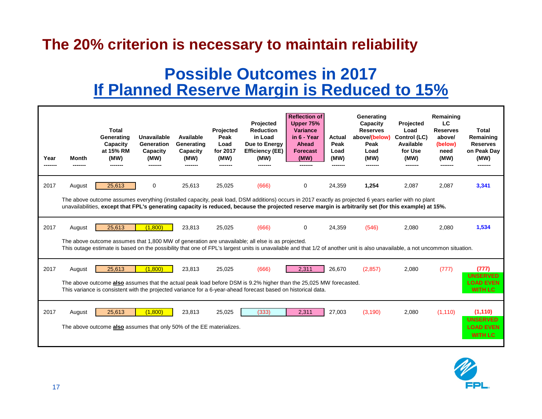#### **The 20% criterion is necessary to maintain reliability**

#### **Possible Outcomes in 2017 If Planned Reserve Margin is Reduced to 15%**

| Year<br>-------                                                                                                                                                                                                                                                                                                 | Month                                                                                                                                                                                                                                                                           | Total<br>Generating<br>Capacity<br>at 15% RM<br>(MW)<br>-------                | <b>Unavailable</b><br>Generation<br>Capacity<br>(MW) | Available<br>Generating<br>Capacity<br>(MW) | Projected<br>Peak<br>Load<br>for 2017<br>(MW) | Projected<br><b>Reduction</b><br>in Load<br>Due to Energy<br><b>Efficiency (EE)</b><br>(MW) | <b>Reflection of</b><br>Upper 75%<br><b>Variance</b><br>in 6 - Year<br>Ahead<br><b>Forecast</b><br>(MW)<br>------- | <b>Actual</b><br>Peak<br>Load<br>(MW) | Generating<br>Capacity<br><b>Reserves</b><br>above/(below)<br>Peak<br>Load<br>(MW)<br>------- | Projected<br>Load<br>Control (LC)<br>Available<br>for Use<br>(MW) | Remaining<br><b>LC</b><br><b>Reserves</b><br>above/<br>(below)<br>need<br>(MW)<br>------- | Total<br>Remaining<br><b>Reserves</b><br>on Peak Day<br>(MW)      |
|-----------------------------------------------------------------------------------------------------------------------------------------------------------------------------------------------------------------------------------------------------------------------------------------------------------------|---------------------------------------------------------------------------------------------------------------------------------------------------------------------------------------------------------------------------------------------------------------------------------|--------------------------------------------------------------------------------|------------------------------------------------------|---------------------------------------------|-----------------------------------------------|---------------------------------------------------------------------------------------------|--------------------------------------------------------------------------------------------------------------------|---------------------------------------|-----------------------------------------------------------------------------------------------|-------------------------------------------------------------------|-------------------------------------------------------------------------------------------|-------------------------------------------------------------------|
| 2017                                                                                                                                                                                                                                                                                                            | August                                                                                                                                                                                                                                                                          | 25,613                                                                         | 0                                                    | 25,613                                      | 25,025                                        | (666)                                                                                       | $\Omega$                                                                                                           | 24,359                                | 1,254                                                                                         | 2,087                                                             | 2,087                                                                                     | 3,341                                                             |
| The above outcome assumes everything (installed capacity, peak load, DSM additions) occurs in 2017 exactly as projected 6 years earlier with no plant<br>unavailabilities, except that FPL's generating capacity is reduced, because the projected reserve margin is arbitrarily set (for this example) at 15%. |                                                                                                                                                                                                                                                                                 |                                                                                |                                                      |                                             |                                               |                                                                                             |                                                                                                                    |                                       |                                                                                               |                                                                   |                                                                                           |                                                                   |
| 2017                                                                                                                                                                                                                                                                                                            | August                                                                                                                                                                                                                                                                          | 25,613                                                                         | (1,800)                                              | 23,813                                      | 25,025                                        | (666)                                                                                       | 0                                                                                                                  | 24,359                                | (546)                                                                                         | 2,080                                                             | 2,080                                                                                     | 1,534                                                             |
|                                                                                                                                                                                                                                                                                                                 | The above outcome assumes that 1,800 MW of generation are unavailable; all else is as projected.<br>This outage estimate is based on the possibility that one of FPL's largest units is unavailable and that 1/2 of another unit is also unavailable, a not uncommon situation. |                                                                                |                                                      |                                             |                                               |                                                                                             |                                                                                                                    |                                       |                                                                                               |                                                                   |                                                                                           |                                                                   |
| 2017                                                                                                                                                                                                                                                                                                            | August                                                                                                                                                                                                                                                                          | 25,613                                                                         | (1.800)                                              | 23,813                                      | 25,025                                        | (666)                                                                                       | 2.311                                                                                                              | 26,670                                | (2,857)                                                                                       | 2.080                                                             | (777)                                                                                     | (777)                                                             |
| The above outcome also assumes that the actual peak load before DSM is 9.2% higher than the 25,025 MW forecasted.<br>This variance is consistent with the projected variance for a 6-year-ahead forecast based on historical data.                                                                              |                                                                                                                                                                                                                                                                                 |                                                                                |                                                      |                                             |                                               |                                                                                             |                                                                                                                    |                                       |                                                                                               | <b>UNSERVED</b><br><b>LOAD EVEN</b><br><b>WITH LC</b>             |                                                                                           |                                                                   |
| 2017                                                                                                                                                                                                                                                                                                            | August                                                                                                                                                                                                                                                                          | 25,613<br>The above outcome also assumes that only 50% of the EE materializes. | (1.800)                                              | 23,813                                      | 25,025                                        | (333)                                                                                       | 2,311                                                                                                              | 27,003                                | (3, 190)                                                                                      | 2,080                                                             | (1, 110)                                                                                  | (1, 110)<br><b>UNSERVED</b><br><b>LOAD EVEN</b><br><b>WITH LC</b> |

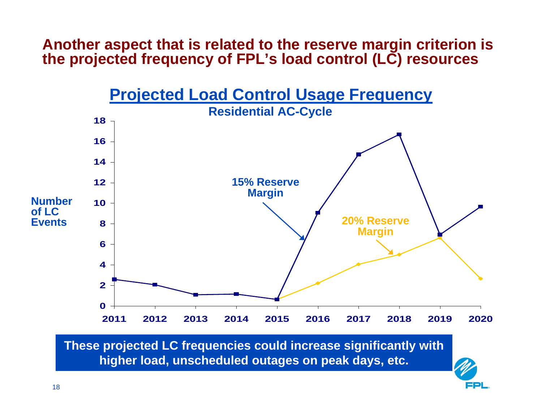#### **Another aspect that is related to the reserve margin criterion is the projected frequency of FPL's load control (LC) resources**



**These projected LC frequencies could increase significantly with higher load, unscheduled outages on peak days, etc.**

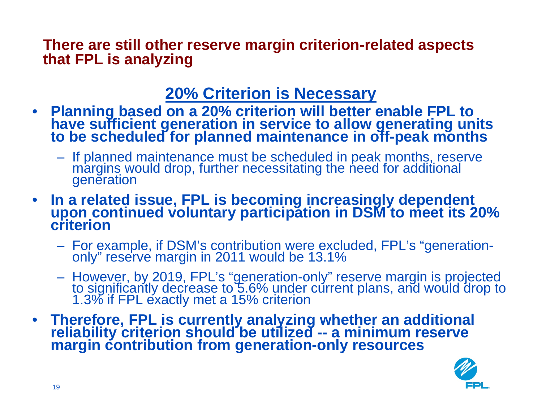**There are still other reserve margin criterion-related aspects that FPL is analyzing**

## **20% Criterion is Necessary**

- **Planning based on a 20% criterion will better enable FPL to have sufficient generation in service to allow generating units to be scheduled for planned maintenance in off-peak months**
	- If planned maintenance must be scheduled in peak months, reserve margins would drop, further necessitating the need for additional generation
- **In a related issue, FPL is becoming increasingly dependent upon continued voluntary participation in DSM to meet its 20% criterion** 
	- For example, if DSM's contribution were excluded, FPL's "generation- only" reserve margin in 2011 would be 13.1%
	- However, by 2019, FPL's "generation-only" reserve margin is projected to significantly decrease to 5.6% under current plans, and would drop to 1.3% if FPL exactly met a 15% criterion
- **Therefore, FPL is currently analyzing whether an additional reliability criterion should be utilized -- a minimum reserve margin contribution from generation-only resources**

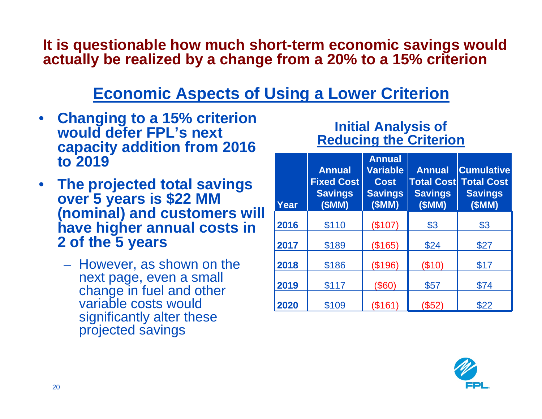**It is questionable how much short-term economic savings would actually be realized by a change from a 20% to a 15% criterion**

## **Economic Aspects of Using a Lower Criterion**

- **Changing to a 15% criterion would defer FPL's next capacity addition from 2016 to 2019**
- **The projected total savings over 5 years is \$22 MM (nominal) and customers will have higher annual costs in 2 of the 5 years**
	- However, as shown on the next page, even a small change in fuel and other variable costs would significantly alter these projected savings

#### **Initial Analysis of Reducing the Criterion**

| Year | <b>Annual</b><br><b>Fixed Cost</b><br><b>Savings</b><br>(SMM) | <b>Annual</b><br><b>Variable</b><br><b>Cost</b><br><b>Savings</b><br>(SMM) | <b>Annual</b><br><b>Total Cost</b><br><b>Savings</b><br>(SMM) | <b>Cumulative</b><br><b>Total Cost</b><br><b>Savings</b><br>(SMM) |  |
|------|---------------------------------------------------------------|----------------------------------------------------------------------------|---------------------------------------------------------------|-------------------------------------------------------------------|--|
| 2016 | \$110                                                         | (\$107)                                                                    | \$3                                                           | \$3                                                               |  |
| 2017 | \$189                                                         | (\$165)                                                                    | \$24                                                          | \$27                                                              |  |
| 2018 | \$186                                                         | (\$196)                                                                    | $(\$10)$                                                      | \$17                                                              |  |
| 2019 | \$117                                                         | (\$60)                                                                     | \$57                                                          | \$74                                                              |  |
| 2020 | \$109                                                         | (\$161)                                                                    | (\$52)                                                        | \$22                                                              |  |

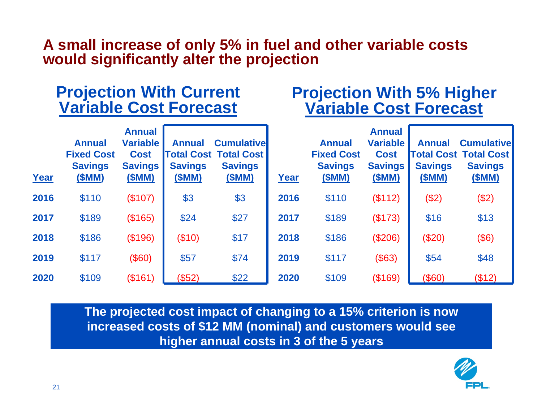#### **A small increase of only 5% in fuel and other variable costs would significantly alter the projection**

#### **Projection With Current Variable Cost Forecast**

#### **Projection With 5% Higher Variable Cost Forecast**

| Year | <b>Annual</b><br><b>Fixed Cost</b><br><b>Savings</b><br>(\$MM) | <b>Annual</b><br><b>Variable</b><br><b>Cost</b><br><b>Savings</b><br>(SMM) | <b>Annual</b><br><b>Savings</b><br>(\$MM) | <b>Cumulativel</b><br><b>Total Cost Total Cost</b><br><b>Savings</b><br>(\$MM) | Year | <b>Annual</b><br><b>Fixed Cost</b><br><b>Savings</b><br>(\$MM) | <b>Annual</b><br><b>Variable</b><br><b>Cost</b><br><b>Savings</b><br>(\$MM) | <b>Annual</b><br><b>Savings</b><br>(\$MM) | <b>Cumulativel</b><br><b>Total Cost Total Cost</b><br><b>Savings</b><br><u>(\$MM)</u> |
|------|----------------------------------------------------------------|----------------------------------------------------------------------------|-------------------------------------------|--------------------------------------------------------------------------------|------|----------------------------------------------------------------|-----------------------------------------------------------------------------|-------------------------------------------|---------------------------------------------------------------------------------------|
| 2016 | \$110                                                          | (\$107)                                                                    | \$3                                       | \$3                                                                            | 2016 | \$110                                                          | (\$112)                                                                     | (\$2)                                     | (\$2)                                                                                 |
| 2017 | \$189                                                          | (\$165)                                                                    | \$24                                      | \$27                                                                           | 2017 | \$189                                                          | (\$173)                                                                     | \$16                                      | \$13                                                                                  |
| 2018 | \$186                                                          | (\$196)                                                                    | (\$10)                                    | \$17                                                                           | 2018 | \$186                                                          | (\$206)                                                                     | (\$20)                                    | (\$6)                                                                                 |
| 2019 | \$117                                                          | (\$60)                                                                     | \$57                                      | \$74                                                                           | 2019 | \$117                                                          | (\$63)                                                                      | \$54                                      | \$48                                                                                  |
| 2020 | \$109                                                          | (\$161)                                                                    | (\$52)                                    | \$22                                                                           | 2020 | \$109                                                          | (\$169)                                                                     | (\$60)                                    | (\$12)                                                                                |

**The projected cost impact of changing to a 15% criterion is now increased costs of \$12 MM (nominal) and customers would see higher annual costs in 3 of the 5 years**